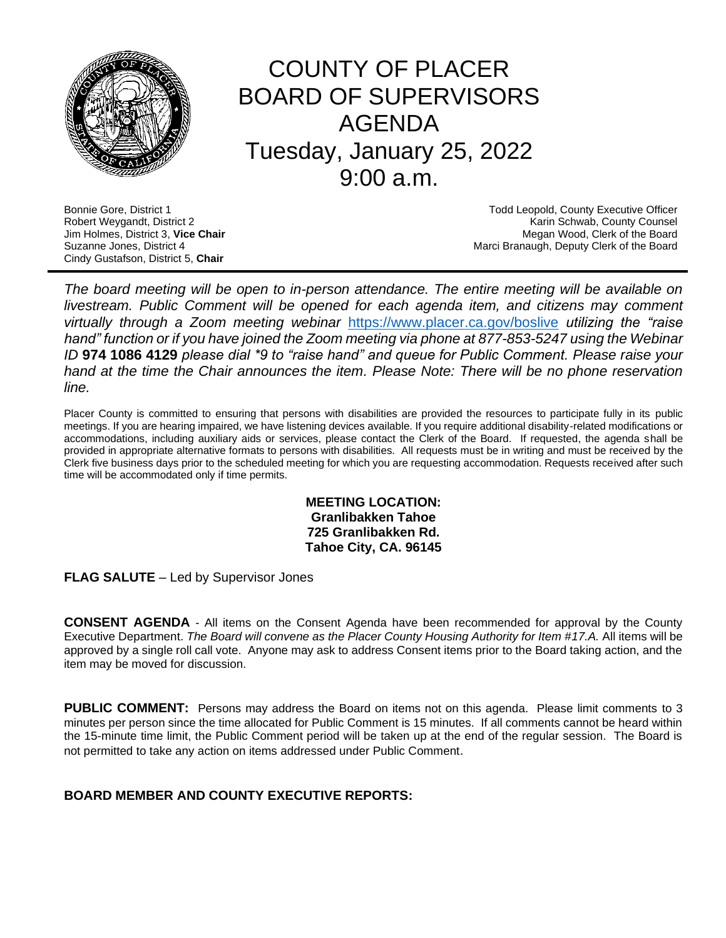

# COUNTY OF PLACER BOARD OF SUPERVISORS AGENDA Tuesday, January 25, 2022 9:00 a.m.

Cindy Gustafson, District 5, **Chair**

Bonnie Gore, District 1 **Todd Leopold, County Executive Officer Todd Leopold, County Executive Officer** Robert Weygandt, District 2 Karin Schwab, County Counsel Jim Holmes, District 3, **Vice Chair** Megan Wood, Clerk of the Board Suzanne Jones, District 4 **March 2018** Marci Branaugh, Deputy Clerk of the Board

*The board meeting will be open to in-person attendance. The entire meeting will be available on livestream. Public Comment will be opened for each agenda item, and citizens may comment virtually through a Zoom meeting webinar* <https://www.placer.ca.gov/boslive> *utilizing the "raise hand" function or if you have joined the Zoom meeting via phone at 877-853-5247 using the Webinar ID* **974 1086 4129** *please dial \*9 to "raise hand" and queue for Public Comment. Please raise your hand at the time the Chair announces the item. Please Note: There will be no phone reservation line.* 

Placer County is committed to ensuring that persons with disabilities are provided the resources to participate fully in its public meetings. If you are hearing impaired, we have listening devices available. If you require additional disability-related modifications or accommodations, including auxiliary aids or services, please contact the Clerk of the Board. If requested, the agenda shall be provided in appropriate alternative formats to persons with disabilities. All requests must be in writing and must be received by the Clerk five business days prior to the scheduled meeting for which you are requesting accommodation. Requests received after such time will be accommodated only if time permits.

> **MEETING LOCATION: Granlibakken Tahoe 725 Granlibakken Rd. Tahoe City, CA. 96145**

**FLAG SALUTE** – Led by Supervisor Jones

**CONSENT AGENDA** - All items on the Consent Agenda have been recommended for approval by the County Executive Department. *The Board will convene as the Placer County Housing Authority for Item #17.A.* All items will be approved by a single roll call vote. Anyone may ask to address Consent items prior to the Board taking action, and the item may be moved for discussion.

**PUBLIC COMMENT:** Persons may address the Board on items not on this agenda. Please limit comments to 3 minutes per person since the time allocated for Public Comment is 15 minutes. If all comments cannot be heard within the 15-minute time limit, the Public Comment period will be taken up at the end of the regular session. The Board is not permitted to take any action on items addressed under Public Comment.

# **BOARD MEMBER AND COUNTY EXECUTIVE REPORTS:**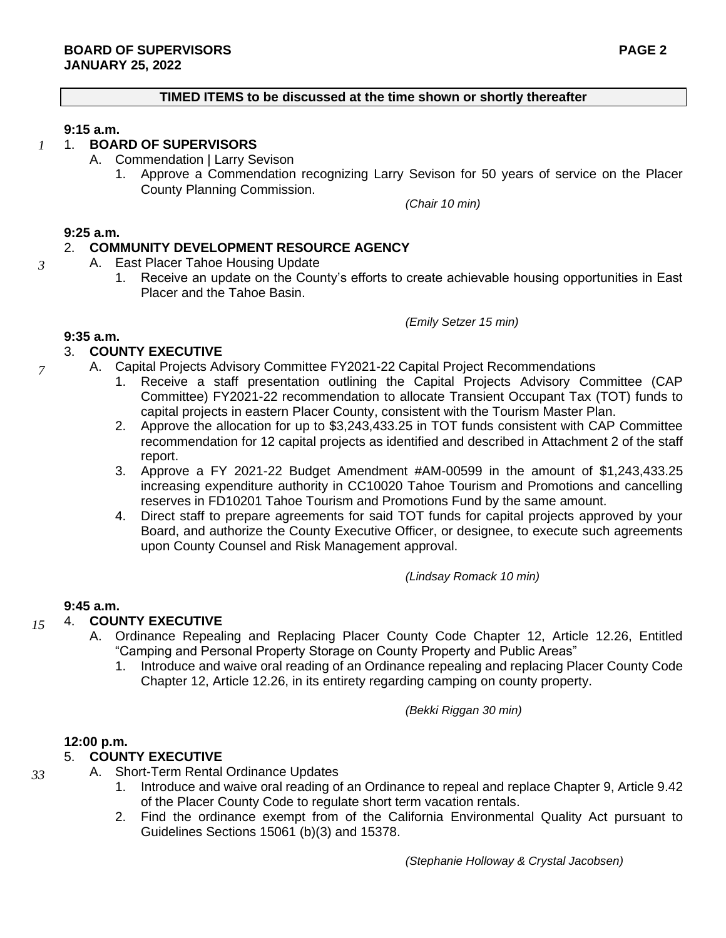### **TIMED ITEMS to be discussed at the time shown or shortly thereafter**

### **9:15 a.m.**

#### 1. **BOARD OF SUPERVISORS** *1*

- A. Commendation | Larry Sevison
	- 1. Approve a Commendation recognizing Larry Sevison for 50 years of service on the Placer County Planning Commission.

*(Chair 10 min)*

#### **9:25 a.m.**

*3*

*7*

## 2. **COMMUNITY DEVELOPMENT RESOURCE AGENCY**

- A. East Placer Tahoe Housing Update
	- 1. Receive an update on the County's efforts to create achievable housing opportunities in East Placer and the Tahoe Basin.

*(Emily Setzer 15 min)*

#### **9:35 a.m.**

### 3. **COUNTY EXECUTIVE**

- A. Capital Projects Advisory Committee FY2021-22 Capital Project Recommendations
	- 1. Receive a staff presentation outlining the Capital Projects Advisory Committee (CAP Committee) FY2021-22 recommendation to allocate Transient Occupant Tax (TOT) funds to capital projects in eastern Placer County, consistent with the Tourism Master Plan.
	- 2. Approve the allocation for up to \$3,243,433.25 in TOT funds consistent with CAP Committee recommendation for 12 capital projects as identified and described in Attachment 2 of the staff report.
	- 3. Approve a FY 2021-22 Budget Amendment #AM-00599 in the amount of \$1,243,433.25 increasing expenditure authority in CC10020 Tahoe Tourism and Promotions and cancelling reserves in FD10201 Tahoe Tourism and Promotions Fund by the same amount.
	- 4. Direct staff to prepare agreements for said TOT funds for capital projects approved by your Board, and authorize the County Executive Officer, or designee, to execute such agreements upon County Counsel and Risk Management approval.

*(Lindsay Romack 10 min)*

### **9:45 a.m.**

### 4. **COUNTY EXECUTIVE**

- A. Ordinance Repealing and Replacing Placer County Code Chapter 12, Article 12.26, Entitled "Camping and Personal Property Storage on County Property and Public Areas"
	- 1. Introduce and waive oral reading of an Ordinance repealing and replacing Placer County Code Chapter 12, Article 12.26, in its entirety regarding camping on county property.

*(Bekki Riggan 30 min)*

#### **12:00 p.m.**

# 5. **COUNTY EXECUTIVE**

*33*

*15*

- A. Short-Term Rental Ordinance Updates
	- 1. Introduce and waive oral reading of an Ordinance to repeal and replace Chapter 9, Article 9.42 of the Placer County Code to regulate short term vacation rentals.
	- 2. Find the ordinance exempt from of the California Environmental Quality Act pursuant to Guidelines Sections 15061 (b)(3) and 15378.

*(Stephanie Holloway & Crystal Jacobsen)*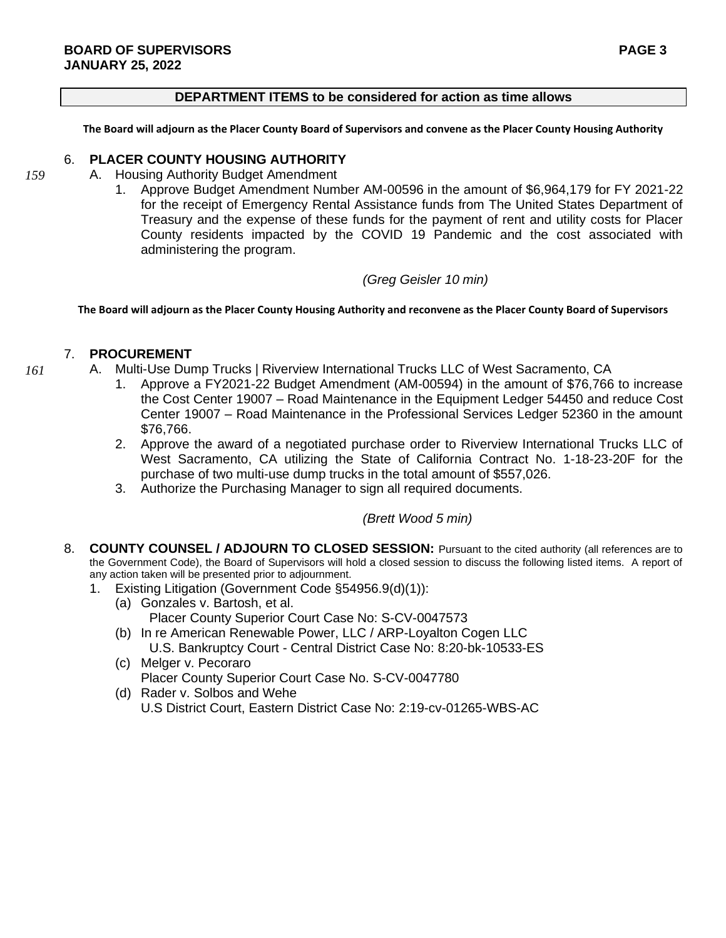#### **DEPARTMENT ITEMS to be considered for action as time allows**

**The Board will adjourn as the Placer County Board of Supervisors and convene as the Placer County Housing Authority**

### 6. **PLACER COUNTY HOUSING AUTHORITY**

*159*

- A. Housing Authority Budget Amendment
	- 1. Approve Budget Amendment Number AM-00596 in the amount of \$6,964,179 for FY 2021-22 for the receipt of Emergency Rental Assistance funds from The United States Department of Treasury and the expense of these funds for the payment of rent and utility costs for Placer County residents impacted by the COVID 19 Pandemic and the cost associated with administering the program.

## *(Greg Geisler 10 min)*

**The Board will adjourn as the Placer County Housing Authority and reconvene as the Placer County Board of Supervisors**

# 7. **PROCUREMENT**

- A. Multi-Use Dump Trucks | Riverview International Trucks LLC of West Sacramento, CA *161*
	- Approve a FY2021-22 Budget Amendment (AM-00594) in the amount of \$76,766 to increase the Cost Center 19007 – Road Maintenance in the Equipment Ledger 54450 and reduce Cost Center 19007 – Road Maintenance in the Professional Services Ledger 52360 in the amount \$76,766.
	- 2. Approve the award of a negotiated purchase order to Riverview International Trucks LLC of West Sacramento, CA utilizing the State of California Contract No. 1-18-23-20F for the purchase of two multi-use dump trucks in the total amount of \$557,026.
	- 3. Authorize the Purchasing Manager to sign all required documents.

# *(Brett Wood 5 min)*

- 8. **COUNTY COUNSEL / ADJOURN TO CLOSED SESSION:** Pursuant to the cited authority (all references are to the Government Code), the Board of Supervisors will hold a closed session to discuss the following listed items. A report of any action taken will be presented prior to adjournment.
	- 1. Existing Litigation (Government Code §54956.9(d)(1)):
		- (a) Gonzales v. Bartosh, et al. Placer County Superior Court Case No: S-CV-0047573
		- (b) In re American Renewable Power, LLC / ARP-Loyalton Cogen LLC U.S. Bankruptcy Court - Central District Case No: 8:20-bk-10533-ES
		- (c) Melger v. Pecoraro Placer County Superior Court Case No. S-CV-0047780
		- (d) Rader v. Solbos and Wehe U.S District Court, Eastern District Case No: 2:19-cv-01265-WBS-AC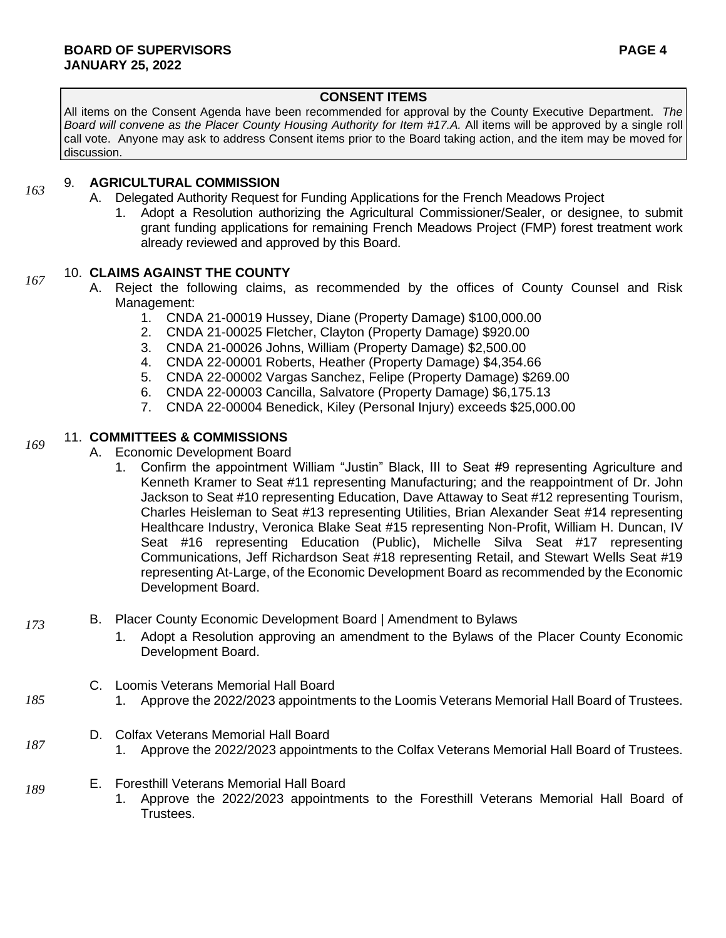# **CONSENT ITEMS**

All items on the Consent Agenda have been recommended for approval by the County Executive Department. *The Board will convene as the Placer County Housing Authority for Item #17.A.* All items will be approved by a single roll call vote. Anyone may ask to address Consent items prior to the Board taking action, and the item may be moved for discussion.

#### 9. **AGRICULTURAL COMMISSION** *163*

- A. Delegated Authority Request for Funding Applications for the French Meadows Project
	- 1. Adopt a Resolution authorizing the Agricultural Commissioner/Sealer, or designee, to submit grant funding applications for remaining French Meadows Project (FMP) forest treatment work already reviewed and approved by this Board.

# 10. **CLAIMS AGAINST THE COUNTY**

*167*

*173*

*185*

*187*

- A. Reject the following claims, as recommended by the offices of County Counsel and Risk Management:
	- 1. CNDA 21-00019 Hussey, Diane (Property Damage) \$100,000.00
	- 2. CNDA 21-00025 Fletcher, Clayton (Property Damage) \$920.00
	- 3. CNDA 21-00026 Johns, William (Property Damage) \$2,500.00
	- 4. CNDA 22-00001 Roberts, Heather (Property Damage) \$4,354.66
	- 5. CNDA 22-00002 Vargas Sanchez, Felipe (Property Damage) \$269.00
	- 6. CNDA 22-00003 Cancilla, Salvatore (Property Damage) \$6,175.13
	- 7. CNDA 22-00004 Benedick, Kiley (Personal Injury) exceeds \$25,000.00

#### 11. **COMMITTEES & COMMISSIONS** *169*

- A. Economic Development Board
	- 1. Confirm the appointment William "Justin" Black, III to Seat #9 representing Agriculture and Kenneth Kramer to Seat #11 representing Manufacturing; and the reappointment of Dr. John Jackson to Seat #10 representing Education, Dave Attaway to Seat #12 representing Tourism, Charles Heisleman to Seat #13 representing Utilities, Brian Alexander Seat #14 representing Healthcare Industry, Veronica Blake Seat #15 representing Non-Profit, William H. Duncan, IV Seat #16 representing Education (Public), Michelle Silva Seat #17 representing Communications, Jeff Richardson Seat #18 representing Retail, and Stewart Wells Seat #19 representing At-Large, of the Economic Development Board as recommended by the Economic Development Board.
- B. Placer County Economic Development Board | Amendment to Bylaws
	- 1. Adopt a Resolution approving an amendment to the Bylaws of the Placer County Economic Development Board.
	- C. Loomis Veterans Memorial Hall Board
		- 1. Approve the 2022/2023 appointments to the Loomis Veterans Memorial Hall Board of Trustees.
	- D. Colfax Veterans Memorial Hall Board
		- 1. Approve the 2022/2023 appointments to the Colfax Veterans Memorial Hall Board of Trustees.
- E. Foresthill Veterans Memorial Hall Board *189*
	- 1. Approve the 2022/2023 appointments to the Foresthill Veterans Memorial Hall Board of Trustees.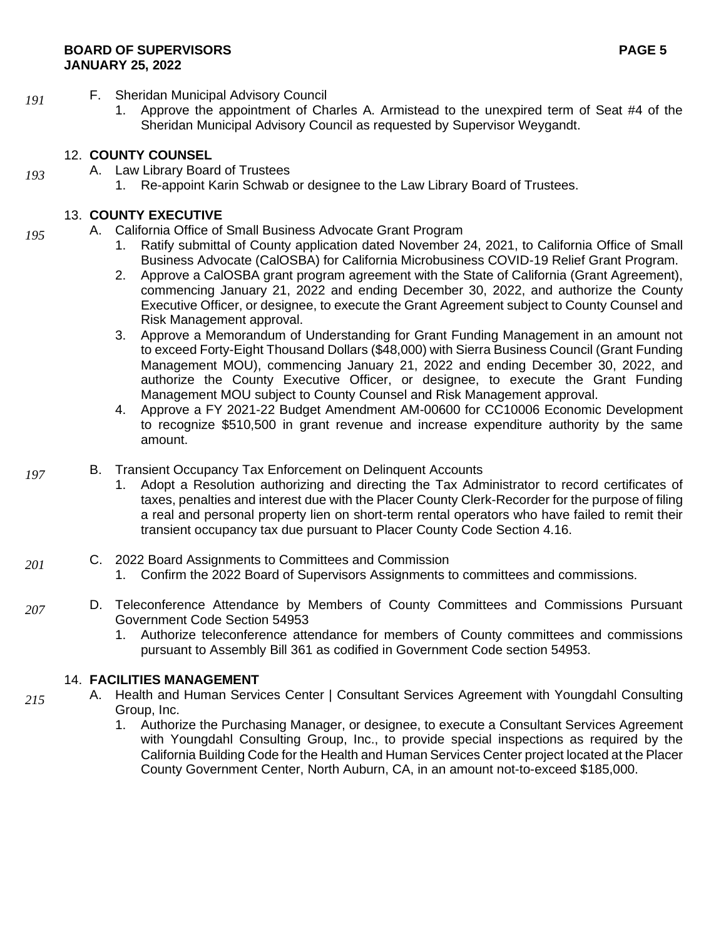## **BOARD OF SUPERVISORS PAGE 5 JANUARY 25, 2022**

- F. Sheridan Municipal Advisory Council
	- 1. Approve the appointment of Charles A. Armistead to the unexpired term of Seat #4 of the Sheridan Municipal Advisory Council as requested by Supervisor Weygandt.

# 12. **COUNTY COUNSEL**

- A. Law Library Board of Trustees
	- 1. Re-appoint Karin Schwab or designee to the Law Library Board of Trustees.

# 13. **COUNTY EXECUTIVE**

- A. California Office of Small Business Advocate Grant Program
	- 1. Ratify submittal of County application dated November 24, 2021, to California Office of Small Business Advocate (CalOSBA) for California Microbusiness COVID-19 Relief Grant Program.
	- 2. Approve a CalOSBA grant program agreement with the State of California (Grant Agreement), commencing January 21, 2022 and ending December 30, 2022, and authorize the County Executive Officer, or designee, to execute the Grant Agreement subject to County Counsel and Risk Management approval.
	- 3. Approve a Memorandum of Understanding for Grant Funding Management in an amount not to exceed Forty-Eight Thousand Dollars (\$48,000) with Sierra Business Council (Grant Funding Management MOU), commencing January 21, 2022 and ending December 30, 2022, and authorize the County Executive Officer, or designee, to execute the Grant Funding Management MOU subject to County Counsel and Risk Management approval.
	- 4. Approve a FY 2021-22 Budget Amendment AM-00600 for CC10006 Economic Development to recognize \$510,500 in grant revenue and increase expenditure authority by the same amount.
- B. Transient Occupancy Tax Enforcement on Delinquent Accounts *197*
	- 1. Adopt a Resolution authorizing and directing the Tax Administrator to record certificates of taxes, penalties and interest due with the Placer County Clerk-Recorder for the purpose of filing a real and personal property lien on short-term rental operators who have failed to remit their transient occupancy tax due pursuant to Placer County Code Section 4.16.
- C. 2022 Board Assignments to Committees and Commission *201*
	- 1. Confirm the 2022 Board of Supervisors Assignments to committees and commissions.
- D. Teleconference Attendance by Members of County Committees and Commissions Pursuant Government Code Section 54953 *207*
	- 1. Authorize teleconference attendance for members of County committees and commissions pursuant to Assembly Bill 361 as codified in Government Code section 54953.

# 14. **FACILITIES MANAGEMENT**

- A. Health and Human Services Center | Consultant Services Agreement with Youngdahl Consulting Group, Inc.
	- 1. Authorize the Purchasing Manager, or designee, to execute a Consultant Services Agreement with Youngdahl Consulting Group, Inc., to provide special inspections as required by the California Building Code for the Health and Human Services Center project located at the Placer County Government Center, North Auburn, CA, in an amount not-to-exceed \$185,000.

*191*

*193*

*195*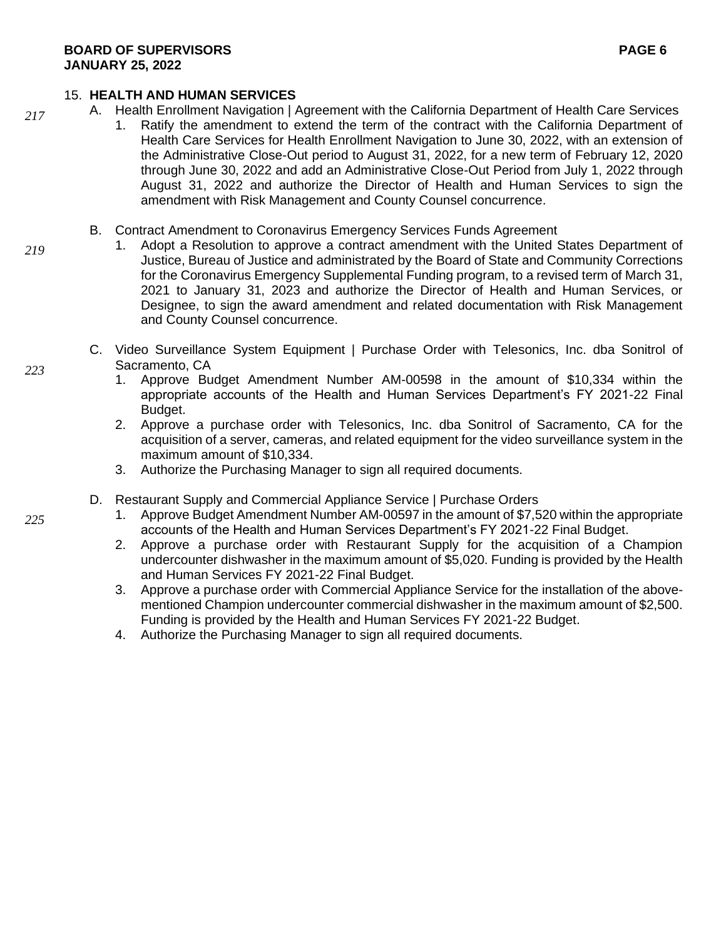# 15. **HEALTH AND HUMAN SERVICES**

- A. Health Enrollment Navigation | Agreement with the California Department of Health Care Services
	- 1. Ratify the amendment to extend the term of the contract with the California Department of Health Care Services for Health Enrollment Navigation to June 30, 2022, with an extension of the Administrative Close-Out period to August 31, 2022, for a new term of February 12, 2020 through June 30, 2022 and add an Administrative Close-Out Period from July 1, 2022 through August 31, 2022 and authorize the Director of Health and Human Services to sign the amendment with Risk Management and County Counsel concurrence.
	- B. Contract Amendment to Coronavirus Emergency Services Funds Agreement
		- 1. Adopt a Resolution to approve a contract amendment with the United States Department of Justice, Bureau of Justice and administrated by the Board of State and Community Corrections for the Coronavirus Emergency Supplemental Funding program, to a revised term of March 31, 2021 to January 31, 2023 and authorize the Director of Health and Human Services, or Designee, to sign the award amendment and related documentation with Risk Management and County Counsel concurrence.
	- C. Video Surveillance System Equipment | Purchase Order with Telesonics, Inc. dba Sonitrol of Sacramento, CA
		- 1. Approve Budget Amendment Number AM-00598 in the amount of \$10,334 within the appropriate accounts of the Health and Human Services Department's FY 2021-22 Final Budget.
		- 2. Approve a purchase order with Telesonics, Inc. dba Sonitrol of Sacramento, CA for the acquisition of a server, cameras, and related equipment for the video surveillance system in the maximum amount of \$10,334.
		- 3. Authorize the Purchasing Manager to sign all required documents.
	- D. Restaurant Supply and Commercial Appliance Service | Purchase Orders
		- 1. Approve Budget Amendment Number AM-00597 in the amount of \$7,520 within the appropriate accounts of the Health and Human Services Department's FY 2021-22 Final Budget.
		- 2. Approve a purchase order with Restaurant Supply for the acquisition of a Champion undercounter dishwasher in the maximum amount of \$5,020. Funding is provided by the Health and Human Services FY 2021-22 Final Budget.
		- 3. Approve a purchase order with Commercial Appliance Service for the installation of the abovementioned Champion undercounter commercial dishwasher in the maximum amount of \$2,500. Funding is provided by the Health and Human Services FY 2021-22 Budget.
		- 4. Authorize the Purchasing Manager to sign all required documents.

*225*

*223*

*217*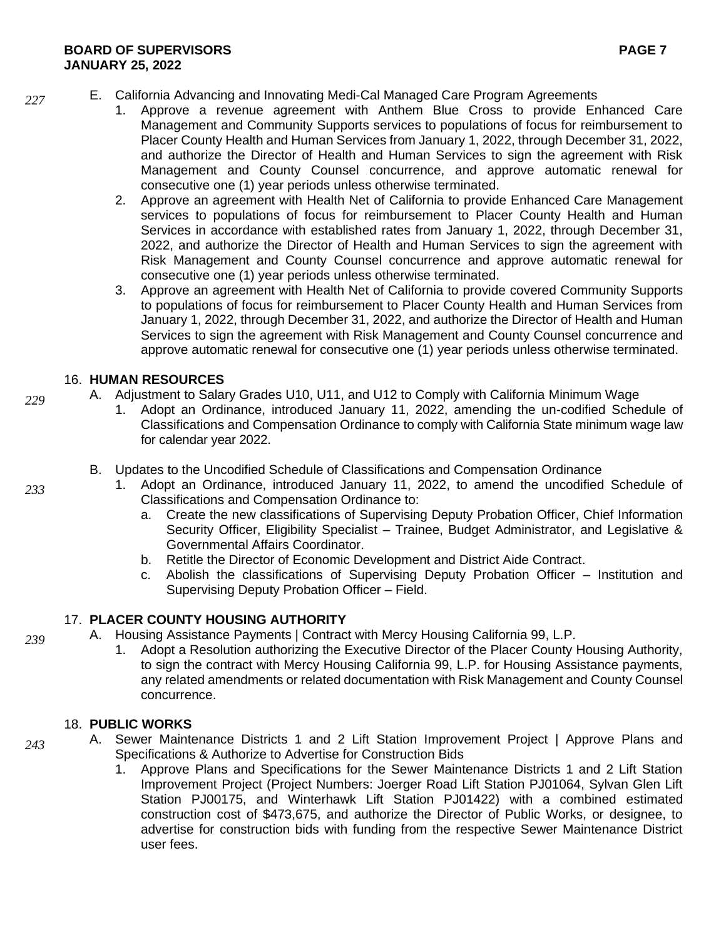- E. California Advancing and Innovating Medi-Cal Managed Care Program Agreements *227*
	- 1. Approve a revenue agreement with Anthem Blue Cross to provide Enhanced Care Management and Community Supports services to populations of focus for reimbursement to Placer County Health and Human Services from January 1, 2022, through December 31, 2022, and authorize the Director of Health and Human Services to sign the agreement with Risk Management and County Counsel concurrence, and approve automatic renewal for consecutive one (1) year periods unless otherwise terminated.
	- 2. Approve an agreement with Health Net of California to provide Enhanced Care Management services to populations of focus for reimbursement to Placer County Health and Human Services in accordance with established rates from January 1, 2022, through December 31, 2022, and authorize the Director of Health and Human Services to sign the agreement with Risk Management and County Counsel concurrence and approve automatic renewal for consecutive one (1) year periods unless otherwise terminated.
	- 3. Approve an agreement with Health Net of California to provide covered Community Supports to populations of focus for reimbursement to Placer County Health and Human Services from January 1, 2022, through December 31, 2022, and authorize the Director of Health and Human Services to sign the agreement with Risk Management and County Counsel concurrence and approve automatic renewal for consecutive one (1) year periods unless otherwise terminated.

# 16. **HUMAN RESOURCES**

- A. Adjustment to Salary Grades U10, U11, and U12 to Comply with California Minimum Wage
	- 1. Adopt an Ordinance, introduced January 11, 2022, amending the un-codified Schedule of Classifications and Compensation Ordinance to comply with California State minimum wage law for calendar year 2022.
	- B. Updates to the Uncodified Schedule of Classifications and Compensation Ordinance
		- 1. Adopt an Ordinance, introduced January 11, 2022, to amend the uncodified Schedule of Classifications and Compensation Ordinance to:
			- a. Create the new classifications of Supervising Deputy Probation Officer, Chief Information Security Officer, Eligibility Specialist - Trainee, Budget Administrator, and Legislative & Governmental Affairs Coordinator.
			- b. Retitle the Director of Economic Development and District Aide Contract.
			- c. Abolish the classifications of Supervising Deputy Probation Officer Institution and Supervising Deputy Probation Officer – Field.

# 17. **PLACER COUNTY HOUSING AUTHORITY**

- A. Housing Assistance Payments | Contract with Mercy Housing California 99, L.P. *239*
	- 1. Adopt a Resolution authorizing the Executive Director of the Placer County Housing Authority, to sign the contract with Mercy Housing California 99, L.P. for Housing Assistance payments, any related amendments or related documentation with Risk Management and County Counsel concurrence.

# 18. **PUBLIC WORKS**

- A. Sewer Maintenance Districts 1 and 2 Lift Station Improvement Project | Approve Plans and Specifications & Authorize to Advertise for Construction Bids *243*
	- 1. Approve Plans and Specifications for the Sewer Maintenance Districts 1 and 2 Lift Station Improvement Project (Project Numbers: Joerger Road Lift Station PJ01064, Sylvan Glen Lift Station PJ00175, and Winterhawk Lift Station PJ01422) with a combined estimated construction cost of \$473,675, and authorize the Director of Public Works, or designee, to advertise for construction bids with funding from the respective Sewer Maintenance District user fees.

*233*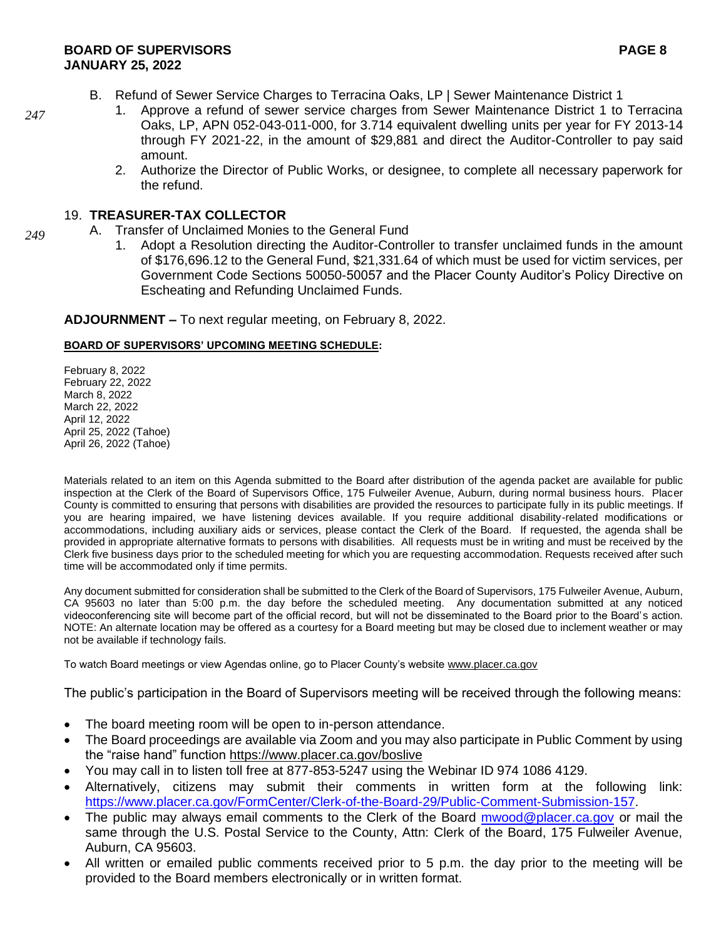- B. Refund of Sewer Service Charges to Terracina Oaks, LP | Sewer Maintenance District 1
	- 1. Approve a refund of sewer service charges from Sewer Maintenance District 1 to Terracina Oaks, LP, APN 052-043-011-000, for 3.714 equivalent dwelling units per year for FY 2013-14 through FY 2021-22, in the amount of \$29,881 and direct the Auditor-Controller to pay said amount.
	- 2. Authorize the Director of Public Works, or designee, to complete all necessary paperwork for the refund.

# 19. **TREASURER-TAX COLLECTOR**

- A. Transfer of Unclaimed Monies to the General Fund
	- 1. Adopt a Resolution directing the Auditor-Controller to transfer unclaimed funds in the amount of \$176,696.12 to the General Fund, \$21,331.64 of which must be used for victim services, per Government Code Sections 50050-50057 and the Placer County Auditor's Policy Directive on Escheating and Refunding Unclaimed Funds.

**ADJOURNMENT –** To next regular meeting, on February 8, 2022.

# **BOARD OF SUPERVISORS' UPCOMING MEETING SCHEDULE:**

February 8, 2022 February 22, 2022 March 8, 2022 March 22, 2022 April 12, 2022 April 25, 2022 (Tahoe) April 26, 2022 (Tahoe)

Materials related to an item on this Agenda submitted to the Board after distribution of the agenda packet are available for public inspection at the Clerk of the Board of Supervisors Office, 175 Fulweiler Avenue, Auburn, during normal business hours. Placer County is committed to ensuring that persons with disabilities are provided the resources to participate fully in its public meetings. If you are hearing impaired, we have listening devices available. If you require additional disability-related modifications or accommodations, including auxiliary aids or services, please contact the Clerk of the Board. If requested, the agenda shall be provided in appropriate alternative formats to persons with disabilities. All requests must be in writing and must be received by the Clerk five business days prior to the scheduled meeting for which you are requesting accommodation. Requests received after such time will be accommodated only if time permits.

Any document submitted for consideration shall be submitted to the Clerk of the Board of Supervisors, 175 Fulweiler Avenue, Auburn, CA 95603 no later than 5:00 p.m. the day before the scheduled meeting. Any documentation submitted at any noticed videoconferencing site will become part of the official record, but will not be disseminated to the Board prior to the Board's action. NOTE: An alternate location may be offered as a courtesy for a Board meeting but may be closed due to inclement weather or may not be available if technology fails.

To watch Board meetings or view Agendas online, go to Placer County's websit[e www.placer.ca.gov](http://www.placer.ca.gov/) 

The public's participation in the Board of Supervisors meeting will be received through the following means:

- The board meeting room will be open to in-person attendance.
- The Board proceedings are available via Zoom and you may also participate in Public Comment by using the "raise hand" function<https://www.placer.ca.gov/boslive>
- You may call in to listen toll free at 877-853-5247 using the Webinar ID 974 1086 4129.
- Alternatively, citizens may submit their comments in written form at the following link: [https://www.placer.ca.gov/FormCenter/Clerk-of-the-Board-29/Public-Comment-Submission-157.](https://www.placer.ca.gov/FormCenter/Clerk-of-the-Board-29/Public-Comment-Submission-157)
- The public may always email comments to the Clerk of the Board [mwood@placer.ca.gov](mailto:mwood@placer.ca.gov) or mail the same through the U.S. Postal Service to the County, Attn: Clerk of the Board, 175 Fulweiler Avenue, Auburn, CA 95603.
- All written or emailed public comments received prior to 5 p.m. the day prior to the meeting will be provided to the Board members electronically or in written format.

*247*